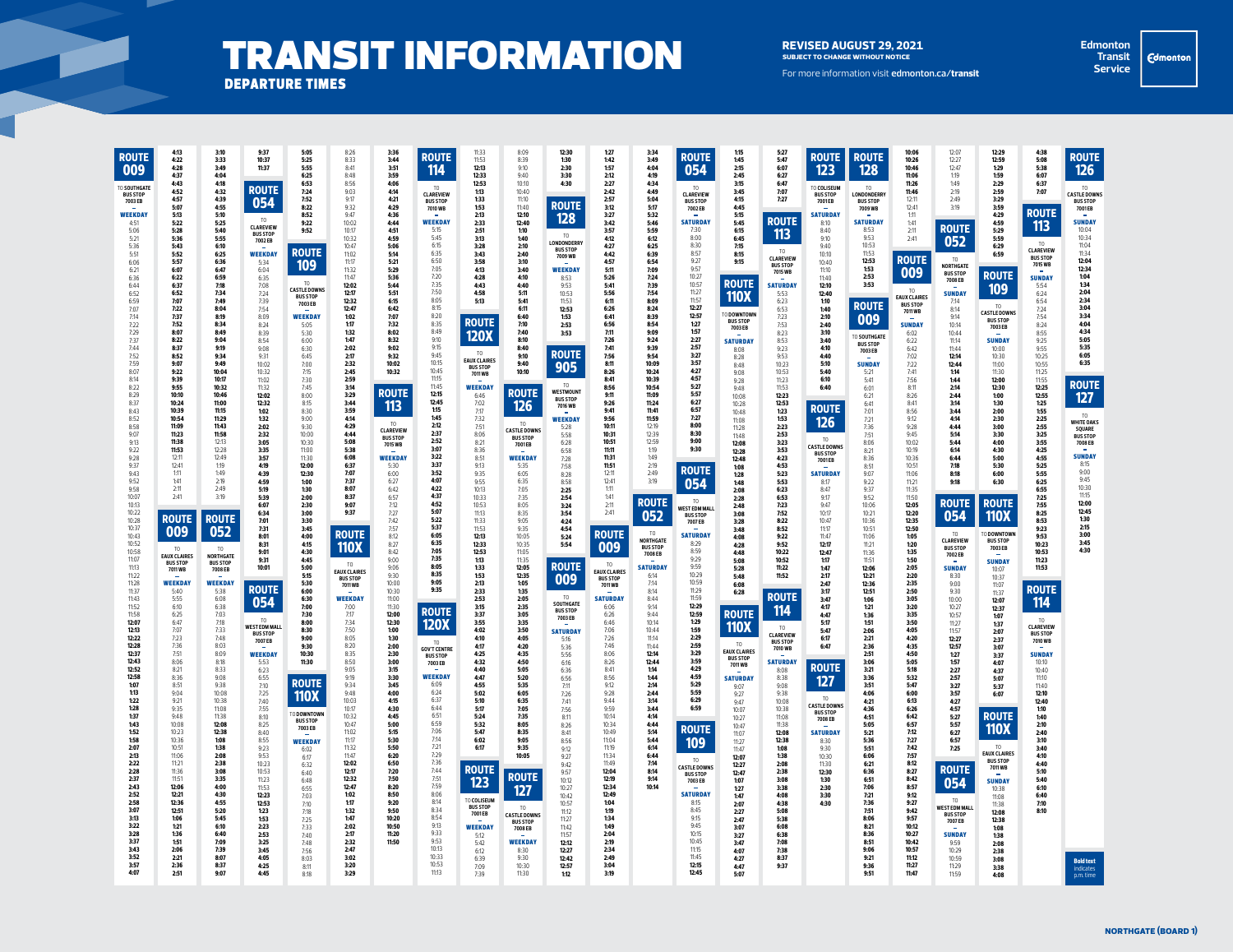## TRANSIT INFORMATION REVISED AUGUST 29, 2021 departure times